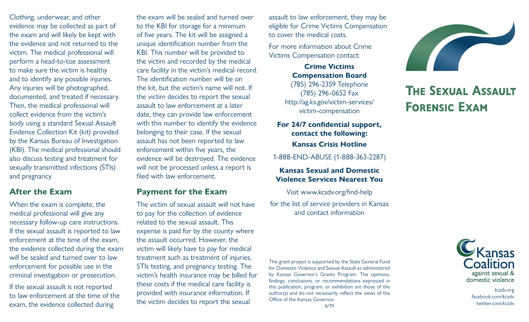Clothing, underwear, and other evidence may be collected as part of the exam and will likely be kept with the evidence and not returned to the victim. The medical professional will perform a head-to-toe assessment to make sure the victim is healthy and to identify any possible injuries. Any injuries will be photographed, documented, and treated if necessary. Then, the medical professional will collect evidence from the victim's body using a standard Sexual Assault Evidence Collection Kit (kit) provided by the Kansas Bureau of Investigation (KBI). The medical professional should also discuss testing and treatment for sexually transmitted infections (STIs) and pregnancy.

## **After the Exam**

When the exam is complete, the medical professional will give any necessary follow-up care instructions. If the sexual assault is reported to law enforcement at the time of the exam, the evidence collected during the exam will be sealed and turned over to law enforcement for possible use in the criminal investigation or prosecution.

If the sexual assault is not reported to law enforcement at the time of the exam, the evidence collected during

the exam will be sealed and turned over to the KBI for storage for a minimum of five years. The kit will be assigned a unique identification number from the KBI. This number will be provided to the victim and recorded by the medical care facility in the victim's medical record. The identification number will be on the kit, but the victim's name will not. If the victim decides to report the sexual assault to law enforcement at a later date, they can provide law enforcement with this number to identify the evidence belonging to their case. If the sexual assault has not been reported to law enforcement within five years, the evidence will be destroyed. The evidence will not be processed unless a report is filed with law enforcement.

## **Payment for the Exam**

The victim of sexual assault will not have to pay for the collection of evidence related to the sexual assault. This expense is paid for by the county where the assault occurred. However, the victim will likely have to pay for medical treatment such as treatment of injuries, STIs testing, and pregnancy testing. The victim's health insurance may be billed for these costs if the medical care facility is provided with insurance information. If the victim decides to report the sexual

assault to law enforcement, they may be eligible for Crime Victims Compensation to cover the medical costs.

For more information about Crime Victims Compensation contact:

> **Crime Victims Compensation Board** (785) 296-2359 Telephone (785) 296-0652 Fax http://ag.ks.gov/victim-services/ victim-compensation

**For 24/7 confidential support, contact the following: Kansas Crisis Hotline**

1-888-END-ABUSE (1-888-363-2287)

#### **Kansas Sexual and Domestic Violence Services Nearest You**

Visit www.kcsdv.org/find-help

for the list of service providers in Kansas and contact information

This grant project is supported by the State General Fund for Domestic Violence and Sexual Assault as administered by Kansas Governor's Grants Program. The opinions, findings, conclusions, or recommendations expressed in this publication, program, or exhibition are those of the author(s) and do not necessarily reflect the views of the Office of the Kansas Governor.



# **The Sexual Assault Forensic Exam**



kcsdv.org facebook.com/kcsdv twitter.com/kcsdv